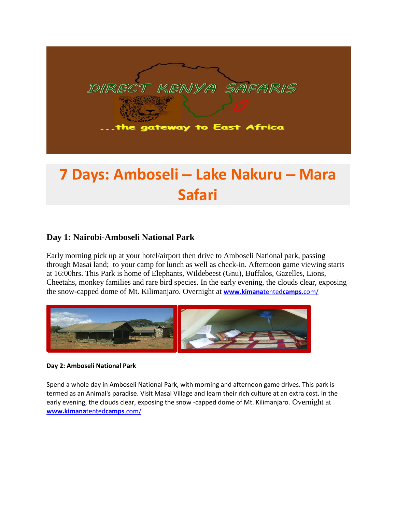

# **7 Days: Amboseli – Lake Nakuru – Mara Safari**

## **Day 1: Nairobi-Amboseli National Park**

Early morning pick up at your hotel/airport then drive to Amboseli National park, passing through Masai land; to your camp for lunch as well as check-in. Afternoon game viewing starts at 16:00hrs. This Park is home of Elephants, Wildebeest (Gnu), Buffalos, Gazelles, Lions, Cheetahs, monkey families and rare bird species. In the early evening, the clouds clear, exposing the snow-capped dome of Mt. Kilimanjaro. Overnight at **[www.kimana](http://www.kimanatentedcamps.com/)**tented**camps**.com/



#### **Day 2: Amboseli National Park**

Spend a whole day in Amboseli National Park, with morning and afternoon game drives. This park is termed as an Animal's paradise. Visit Masai Village and learn their rich culture at an extra cost. In the early evening, the clouds clear, exposing the snow -capped dome of Mt. Kilimanjaro. Overnight at **[www.kimana](http://www.kimanatentedcamps.com/)**tented**camps**.com/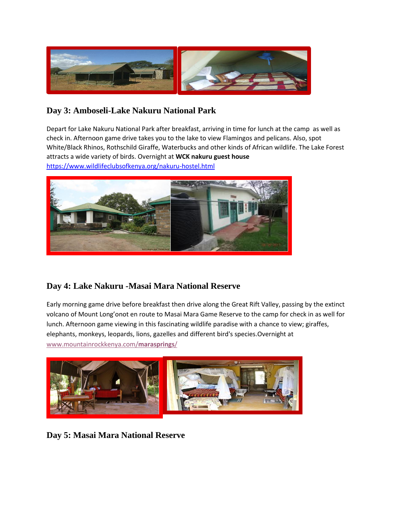

## **Day 3: Amboseli-Lake Nakuru National Park**

Depart for Lake Nakuru National Park after breakfast, arriving in time for lunch at the camp as well as check in. Afternoon game drive takes you to the lake to view Flamingos and pelicans. Also, spot White/Black Rhinos, Rothschild Giraffe, Waterbucks and other kinds of African wildlife. The Lake Forest attracts a wide variety of birds. Overnight at **WCK nakuru guest house**  <https://www.wildlifeclubsofkenya.org/nakuru-hostel.html>



# **Day 4: Lake Nakuru -Masai Mara National Reserve**

Early morning game drive before breakfast then drive along the Great Rift Valley, passing by the extinct volcano of Mount Long'onot en route to Masai Mara Game Reserve to the camp for check in as well for lunch. Afternoon game viewing in this fascinating wildlife paradise with a chance to view; giraffes, elephants, monkeys, leopards, lions, gazelles and different bird's species.Overnight at [www.mountainrockkenya.com/](http://www.mountainrockkenya.com/marasprings/)**marasprings**/



**Day 5: Masai Mara National Reserve**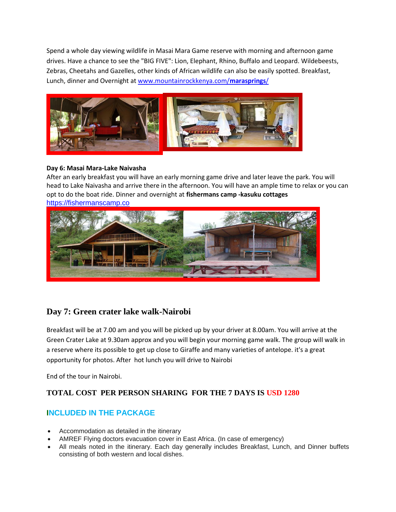Spend a whole day viewing wildlife in Masai Mara Game reserve with morning and afternoon game drives. Have a chance to see the "BIG FIVE": Lion, Elephant, Rhino, Buffalo and Leopard. Wildebeests, Zebras, Cheetahs and Gazelles, other kinds of African wildlife can also be easily spotted. Breakfast, Lunch, dinner and Overnight at [www.mountainrockkenya.com/](http://www.mountainrockkenya.com/marasprings/)**marasprings**/



#### **Day 6: Masai Mara-Lake Naivasha**

After an early breakfast you will have an early morning game drive and later leave the park. You will head to Lake Naivasha and arrive there in the afternoon. You will have an ample time to relax or you can opt to do the boat ride. Dinner and overnight at **fishermans camp -kasuku cottages**  [https://fishermanscamp.co](%0dhttps:/fishermanscamp.co%0d)



## **Day 7: Green crater lake walk-Nairobi**

Breakfast will be at 7.00 am and you will be picked up by your driver at 8.00am. You will arrive at the Green Crater Lake at 9.30am approx and you will begin your morning game walk. The group will walk in a reserve where its possible to get up close to Giraffe and many varieties of antelope. it's a great opportunity for photos. After hot lunch you will drive to Nairobi

End of the tour in Nairobi.

## **TOTAL COST PER PERSON SHARING FOR THE 7 DAYS IS USD 1280**

## **INCLUDED IN THE PACKAGE**

- Accommodation as detailed in the itinerary
- AMREF Flying doctors evacuation cover in East Africa. (In case of emergency)
- All meals noted in the itinerary. Each day generally includes Breakfast, Lunch, and Dinner buffets consisting of both western and local dishes.